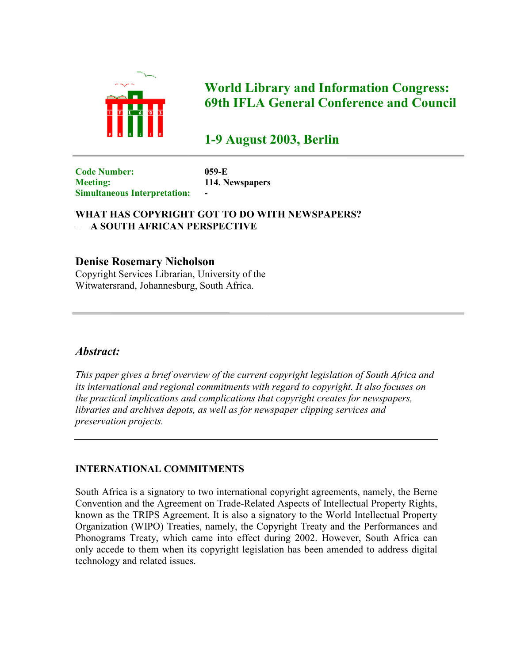

# **World Library and Information Congress: 69th IFLA General Conference and Council**

**1-9 August 2003, Berlin**

**Code Number: 059-E Meeting: 114. Newspapers Simultaneous Interpretation:** 

**WHAT HAS COPYRIGHT GOT TO DO WITH NEWSPAPERS?** – **A SOUTH AFRICAN PERSPECTIVE**

## **Denise Rosemary Nicholson**

Copyright Services Librarian, University of the Witwatersrand, Johannesburg, South Africa.

## *Abstract:*

*This paper gives a brief overview of the current copyright legislation of South Africa and its international and regional commitments with regard to copyright. It also focuses on the practical implications and complications that copyright creates for newspapers, libraries and archives depots, as well as for newspaper clipping services and preservation projects.*

## **INTERNATIONAL COMMITMENTS**

South Africa is a signatory to two international copyright agreements, namely, the Berne Convention and the Agreement on Trade-Related Aspects of Intellectual Property Rights, known as the TRIPS Agreement. It is also a signatory to the World Intellectual Property Organization (WIPO) Treaties, namely, the Copyright Treaty and the Performances and Phonograms Treaty, which came into effect during 2002. However, South Africa can only accede to them when its copyright legislation has been amended to address digital technology and related issues.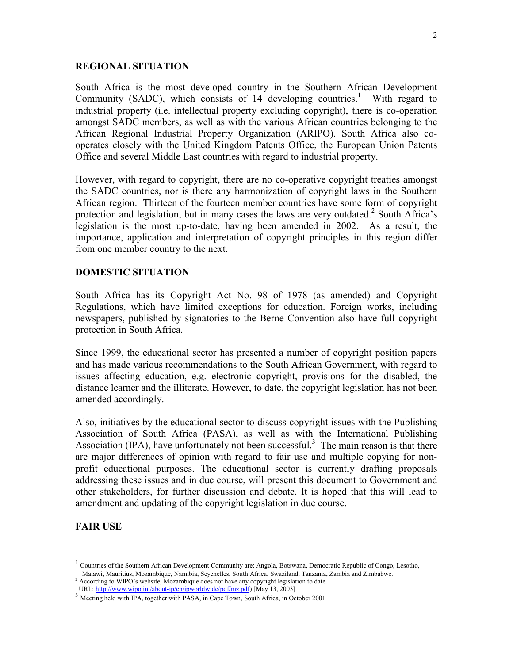#### **REGIONAL SITUATION**

South Africa is the most developed country in the Southern African Development Community(SADC), which consists of  $14$  developing countries.<sup>1</sup> With regard to industrial property (i.e. intellectual property excluding copyright), there is co-operation amongst SADC members, as well as with the various African countries belonging to the African Regional Industrial Property Organization (ARIPO). South Africa also cooperates closely with the United Kingdom Patents Office, the European Union Patents Office and several Middle East countries with regard to industrial property.

However, with regard to copyright, there are no co-operative copyright treaties amongst the SADC countries, nor is there any harmonization of copyright laws in the Southern African region. Thirteen of the fourteen member countries have some form of copyright protection and legislation, but in many cases the laws are very outdated.<sup>[2](#page-1-1)</sup> South Africa's legislation is the most up-to-date, having been amended in 2002. As a result, the importance, application and interpretation of copyright principles in this region differ from one member country to the next.

#### **DOMESTIC SITUATION**

South Africa has its Copyright Act No. 98 of 1978 (as amended) and Copyright Regulations, which have limited exceptions for education. Foreign works, including newspapers, published by signatories to the Berne Convention also have full copyright protection in South Africa.

Since 1999, the educational sector has presented a number of copyright position papers and has made various recommendations to the South African Government, with regard to issues affecting education, e.g. electronic copyright, provisions for the disabled, the distance learner and the illiterate. However, to date, the copyright legislation has not been amended accordingly.

Also, initiatives by the educational sector to discuss copyright issues with the Publishing Association of South Africa (PASA), as well as with the International Publishing Association (IPA), have unfortunately not been successful.<sup>[3](#page-1-2)</sup> The main reason is that there are major differences of opinion with regard to fair use and multiple copying for nonprofit educational purposes. The educational sector is currently drafting proposals addressing these issues and in due course, will present this document to Government and other stakeholders, for further discussion and debate. It is hoped that this will lead to amendment and updating of the copyright legislation in due course.

#### **FAIR USE**

 $\overline{a}$ 

<span id="page-1-0"></span><sup>1</sup> Countries of the Southern African Development Community are: Angola, Botswana, Democratic Republic of Congo, Lesotho, Malawi, Mauritius, Mozambique, Namibia, Seychelles, South Africa, Swaziland, Tanzania, Zambia and Zimbabwe.

<span id="page-1-1"></span><sup>2</sup> According to WIPO's website, Mozambique does not have any copyright legislation to date.<br>URL: http://www.wipo.int/about-ip/en/ipworldwide/pdf/mz.pdf) [May 13, 2003]

<span id="page-1-2"></span> $3$  Meeting held with IPA, together with PASA, in Cape Town, South Africa, in October 2001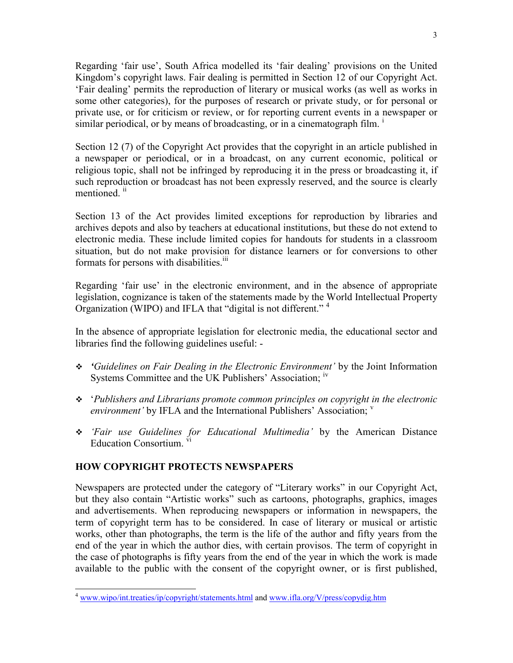Regarding 'fair use', South Africa modelled its 'fair dealing' provisions on the United Kingdom's copyright laws. Fair dealing is permitted in Section 12 of our Copyright Act. 'Fair dealing' permits the reproduction of literary or musical works (as well as works in some other categories), for the purposes of research or private study, or for personal or private use, or for criticism or review, or for reporting current events in a newspaper or s[i](#page-8-0)milar periodical, or by means of broadcasting, or in a cinematograph film.  $\frac{1}{1}$ 

Section 12 (7) of the Copyright Act provides that the copyright in an article published in a newspaper or periodical, or in a broadcast, on any current economic, political or religious topic, shall not be infringed by reproducing it in the press or broadcasting it, if such reproduction or broadcast has not been expressly reserved, and the source is clearly mentioned  $\overline{u}$ 

Section 13 of the Act provides limited exceptions for reproduction by libraries and archives depots and also by teachers at educational institutions, but these do not extend to electronic media. These include limited copies for handouts for students in a classroom situation, but do not make provision for distance learners or for conversions to other formats for persons with disabilities.<sup>[iii](#page-8-2)</sup>

Regarding 'fair use' in the electronic environment, and in the absence of appropriate legislation, cognizance is taken of the statements made by the World Intellectual Property Organization (WIPO) and IFLA that "digital is not different."<sup>[4](#page-2-0)</sup>

In the absence of appropriate legislation for electronic media, the educational sector and libraries find the following guidelines useful: -

- *'Guidelines on Fair Dealing in the Electronic Environment'* by the Joint Information Systems Committee and the UK Publishers' Association; [iv](#page-8-3)
- '*Publishers and Librarians promote common principles on copyright in the electronic en[v](#page-8-4)ironment'* by IFLA and the International Publishers' Association; v
- *'Fair use Guidelines for Educational Multimedia'* by the American Distance Education Consortium.

## **HOW COPYRIGHT PROTECTS NEWSPAPERS**

 $\overline{a}$ 

Newspapers are protected under the category of "Literary works" in our Copyright Act, but they also contain "Artistic works" such as cartoons, photographs, graphics, images and advertisements. When reproducing newspapers or information in newspapers, the term of copyright term has to be considered. In case of literary or musical or artistic works, other than photographs, the term is the life of the author and fifty years from the end of the year in which the author dies, with certain provisos. The term of copyright in the case of photographs is fifty years from the end of the year in which the work is made available to the public with the consent of the copyright owner, or is first published,

<span id="page-2-0"></span><sup>&</sup>lt;sup>4</sup> www.wipo/int.treaties/ip/copyright/statements.html and www.ifla.org/V/press/copydig.htm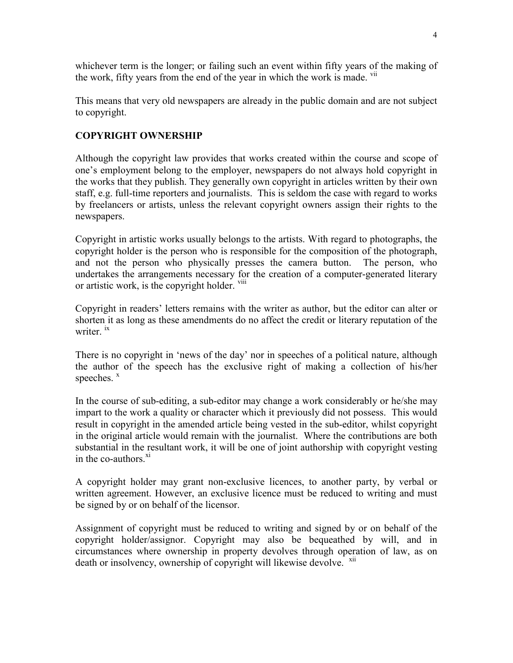whichever term is the longer; or failing such an event within fifty years of the making of the work, fifty years from the end of the year in which the work is made. <sup>[vii](#page-8-6)</sup>

This means that very old newspapers are already in the public domain and are not subject to copyright.

## **COPYRIGHT OWNERSHIP**

Although the copyright law provides that works created within the course and scope of one's employment belong to the employer, newspapers do not always hold copyright in the works that they publish. They generally own copyright in articles written by their own staff, e.g. full-time reporters and journalists. This is seldom the case with regard to works by freelancers or artists, unless the relevant copyright owners assign their rights to the newspapers.

Copyright in artistic works usually belongs to the artists. With regard to photographs, the copyright holder is the person who is responsible for the composition of the photograph, and not the person who physically presses the camera button. The person, who undertakes the arrangements necessary for the creation of a computer-generated literary or artistic work, is the copyright holder. <sup>[viii](#page-8-7)</sup>

Copyright in readers' letters remains with the writer as author, but the editor can alter or shorten it as long as these amendments do no affect the credit or literary reputation of the writer. [ix](#page-8-8)

There is no copyright in 'news of the day' nor in speeches of a political nature, although the author of the speech has the exclusive right of making a collection of his/her speeches.  $x$ 

In the course of sub-editing, a sub-editor may change a work considerably or he/she may impart to the work a quality or character which it previously did not possess. This would result in copyright in the amended article being vested in the sub-editor, whilst copyright in the original article would remain with the journalist. Where the contributions are both substantial in the resultant work, it will be one of joint authorship with copyright vesting in the co-authors $^{x_1}$ 

A copyright holder may grant non-exclusive licences, to another party, by verbal or written agreement. However, an exclusive licence must be reduced to writing and must be signed by or on behalf of the licensor.

Assignment of copyright must be reduced to writing and signed by or on behalf of the copyright holder/assignor. Copyright may also be bequeathed by will, and in circumstances where ownership in property devolves through operation of law, as on death or insolvency, ownership of copyright will likewise devolve. <sup>[xii](#page-8-11)</sup>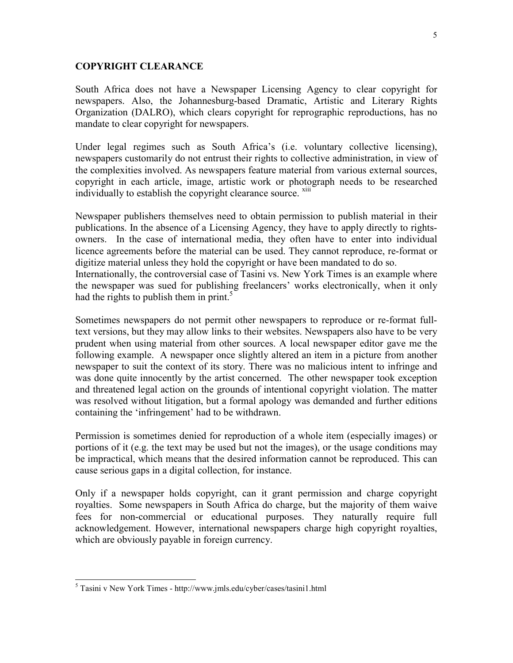#### **COPYRIGHT CLEARANCE**

South Africa does not have a Newspaper Licensing Agency to clear copyright for newspapers. Also, the Johannesburg-based Dramatic, Artistic and Literary Rights Organization (DALRO), which clears copyright for reprographic reproductions, has no mandate to clear copyright for newspapers.

Under legal regimes such as South Africa's (i.e. voluntary collective licensing), newspapers customarily do not entrust their rights to collective administration, in view of the complexities involved. As newspapers feature material from various external sources, copyright in each article, image, artistic work or photograph needs to be researched individually to establish the copyright clearance source. [xiii](#page-8-12)

Newspaper publishers themselves need to obtain permission to publish material in their publications. In the absence of a Licensing Agency, they have to apply directly to rightsowners. In the case of international media, they often have to enter into individual licence agreements before the material can be used. They cannot reproduce, re-format or digitize material unless they hold the copyright or have been mandated to do so. Internationally, the controversial case of Tasini vs. New York Times is an example where the newspaper was sued for publishing freelancers' works electronically, when it only had the rights to publish them in print. $\delta$ 

Sometimes newspapers do not permit other newspapers to reproduce or re-format fulltext versions, but they may allow links to their websites. Newspapers also have to be very prudent when using material from other sources. A local newspaper editor gave me the following example. A newspaper once slightly altered an item in a picture from another newspaper to suit the context of its story. There was no malicious intent to infringe and was done quite innocently by the artist concerned. The other newspaper took exception and threatened legal action on the grounds of intentional copyright violation. The matter was resolved without litigation, but a formal apology was demanded and further editions containing the 'infringement' had to be withdrawn.

Permission is sometimes denied for reproduction of a whole item (especially images) or portions of it (e.g. the text may be used but not the images), or the usage conditions may be impractical, which means that the desired information cannot be reproduced. This can cause serious gaps in a digital collection, for instance.

Only if a newspaper holds copyright, can it grant permission and charge copyright royalties. Some newspapers in South Africa do charge, but the majority of them waive fees for non-commercial or educational purposes. They naturally require full acknowledgement. However, international newspapers charge high copyright royalties, which are obviously payable in foreign currency.

 $\overline{\phantom{a}}$ 

<span id="page-4-0"></span> $<sup>5</sup>$  Tasini v New York Times - http://www.jmls.edu/cyber/cases/tasini1.html</sup>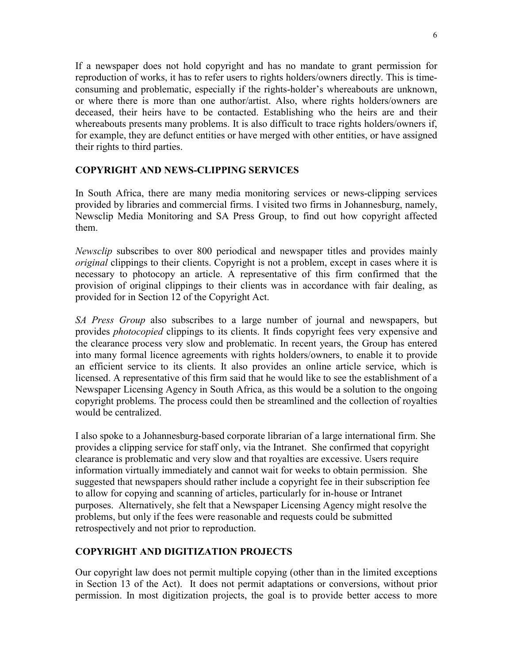If a newspaper does not hold copyright and has no mandate to grant permission for reproduction of works, it has to refer users to rights holders/owners directly. This is timeconsuming and problematic, especially if the rights-holder's whereabouts are unknown, or where there is more than one author/artist. Also, where rights holders/owners are deceased, their heirs have to be contacted. Establishing who the heirs are and their whereabouts presents many problems. It is also difficult to trace rights holders/owners if, for example, they are defunct entities or have merged with other entities, or have assigned their rights to third parties.

## **COPYRIGHT AND NEWS-CLIPPING SERVICES**

In South Africa, there are many media monitoring services or news-clipping services provided by libraries and commercial firms. I visited two firms in Johannesburg, namely, Newsclip Media Monitoring and SA Press Group, to find out how copyright affected them.

*Newsclip* subscribes to over 800 periodical and newspaper titles and provides mainly *original* clippings to their clients. Copyright is not a problem, except in cases where it is necessary to photocopy an article. A representative of this firm confirmed that the provision of original clippings to their clients was in accordance with fair dealing, as provided for in Section 12 of the Copyright Act.

*SA Press Group* also subscribes to a large number of journal and newspapers, but provides *photocopied* clippings to its clients. It finds copyright fees very expensive and the clearance process very slow and problematic. In recent years, the Group has entered into many formal licence agreements with rights holders/owners, to enable it to provide an efficient service to its clients. It also provides an online article service, which is licensed. A representative of this firm said that he would like to see the establishment of a Newspaper Licensing Agency in South Africa, as this would be a solution to the ongoing copyright problems. The process could then be streamlined and the collection of royalties would be centralized.

I also spoke to a Johannesburg-based corporate librarian of a large international firm. She provides a clipping service for staff only, via the Intranet. She confirmed that copyright clearance is problematic and very slow and that royalties are excessive. Users require information virtually immediately and cannot wait for weeks to obtain permission. She suggested that newspapers should rather include a copyright fee in their subscription fee to allow for copying and scanning of articles, particularly for in-house or Intranet purposes. Alternatively, she felt that a Newspaper Licensing Agency might resolve the problems, but only if the fees were reasonable and requests could be submitted retrospectively and not prior to reproduction.

## **COPYRIGHT AND DIGITIZATION PROJECTS**

Our copyright law does not permit multiple copying (other than in the limited exceptions in Section 13 of the Act). It does not permit adaptations or conversions, without prior permission. In most digitization projects, the goal is to provide better access to more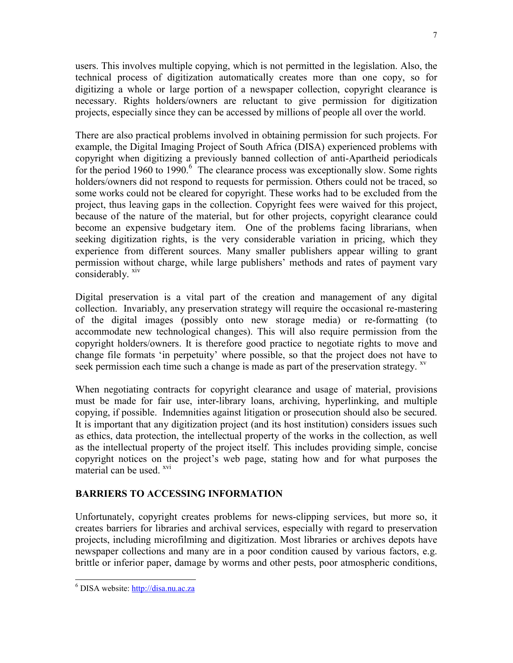users. This involves multiple copying, which is not permitted in the legislation. Also, the technical process of digitization automatically creates more than one copy, so for digitizing a whole or large portion of a newspaper collection, copyright clearance is necessary. Rights holders/owners are reluctant to give permission for digitization projects, especially since they can be accessed by millions of people all over the world.

There are also practical problems involved in obtaining permission for such projects. For example, the Digital Imaging Project of South Africa (DISA) experienced problems with copyright when digitizing a previously banned collection of anti-Apartheid periodicals forthe period 1960 to 1990.<sup>6</sup> The clearance process was exceptionally slow. Some rights holders/owners did not respond to requests for permission. Others could not be traced, so some works could not be cleared for copyright. These works had to be excluded from the project, thus leaving gaps in the collection. Copyright fees were waived for this project, because of the nature of the material, but for other projects, copyright clearance could become an expensive budgetary item. One of the problems facing librarians, when seeking digitization rights, is the very considerable variation in pricing, which they experience from different sources. Many smaller publishers appear willing to grant permission without charge, while large publishers' methods and rates of payment vary considerably. [xiv](#page-8-13)

Digital preservation is a vital part of the creation and management of any digital collection. Invariably, any preservation strategy will require the occasional re-mastering of the digital images (possibly onto new storage media) or re-formatting (to accommodate new technological changes). This will also require permission from the copyright holders/owners. It is therefore good practice to negotiate rights to move and change file formats 'in perpetuity' where possible, so that the project does not have to seek permission each time such a change is made as part of the preservation strategy.  $^{xy}$ 

When negotiating contracts for copyright clearance and usage of material, provisions must be made for fair use, inter-library loans, archiving, hyperlinking, and multiple copying, if possible. Indemnities against litigation or prosecution should also be secured. It is important that any digitization project (and its host institution) considers issues such as ethics, data protection, the intellectual property of the works in the collection, as well as the intellectual property of the project itself. This includes providing simple, concise copyright notices on the project's web page, stating how and for what purposes the material can be used. <sup>[xvi](#page-8-15)</sup>

#### **BARRIERS TO ACCESSING INFORMATION**

Unfortunately, copyright creates problems for news-clipping services, but more so, it creates barriers for libraries and archival services, especially with regard to preservation projects, including microfilming and digitization. Most libraries or archives depots have newspaper collections and many are in a poor condition caused by various factors, e.g. brittle or inferior paper, damage by worms and other pests, poor atmospheric conditions,

 $\overline{\phantom{a}}$ 

<span id="page-6-0"></span><sup>&</sup>lt;sup>6</sup> DISA website: http://disa.nu.ac.za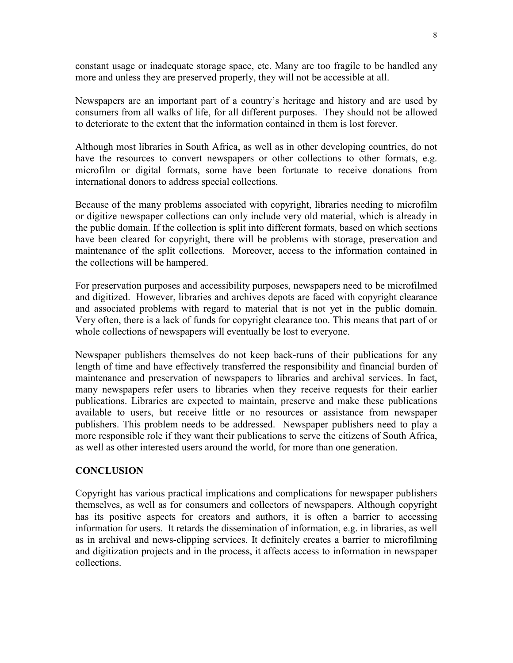constant usage or inadequate storage space, etc. Many are too fragile to be handled any more and unless they are preserved properly, they will not be accessible at all.

Newspapers are an important part of a country's heritage and history and are used by consumers from all walks of life, for all different purposes. They should not be allowed to deteriorate to the extent that the information contained in them is lost forever.

Although most libraries in South Africa, as well as in other developing countries, do not have the resources to convert newspapers or other collections to other formats, e.g. microfilm or digital formats, some have been fortunate to receive donations from international donors to address special collections.

Because of the many problems associated with copyright, libraries needing to microfilm or digitize newspaper collections can only include very old material, which is already in the public domain. If the collection is split into different formats, based on which sections have been cleared for copyright, there will be problems with storage, preservation and maintenance of the split collections. Moreover, access to the information contained in the collections will be hampered.

For preservation purposes and accessibility purposes, newspapers need to be microfilmed and digitized. However, libraries and archives depots are faced with copyright clearance and associated problems with regard to material that is not yet in the public domain. Very often, there is a lack of funds for copyright clearance too. This means that part of or whole collections of newspapers will eventually be lost to everyone.

Newspaper publishers themselves do not keep back-runs of their publications for any length of time and have effectively transferred the responsibility and financial burden of maintenance and preservation of newspapers to libraries and archival services. In fact, many newspapers refer users to libraries when they receive requests for their earlier publications. Libraries are expected to maintain, preserve and make these publications available to users, but receive little or no resources or assistance from newspaper publishers. This problem needs to be addressed. Newspaper publishers need to play a more responsible role if they want their publications to serve the citizens of South Africa, as well as other interested users around the world, for more than one generation.

## **CONCLUSION**

Copyright has various practical implications and complications for newspaper publishers themselves, as well as for consumers and collectors of newspapers. Although copyright has its positive aspects for creators and authors, it is often a barrier to accessing information for users. It retards the dissemination of information, e.g. in libraries, as well as in archival and news-clipping services. It definitely creates a barrier to microfilming and digitization projects and in the process, it affects access to information in newspaper collections.